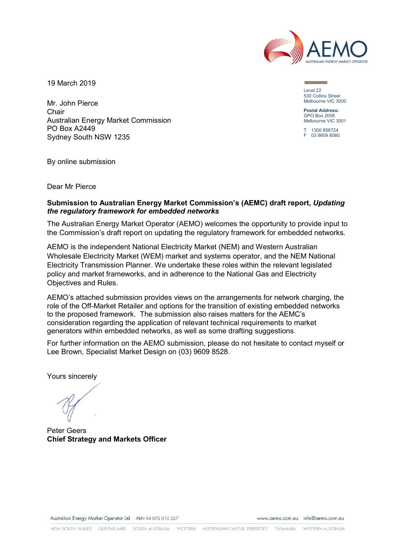

19 March 2019

Mr. John Pierce Chair Australian Energy Market Commission PO Box A2449 Sydney South NSW 1235

Level 22 530 Collins Street Melbourne VIC 3000

**Postal Address:** GPO Box 2008 Melbourne VIC 3001

T 1300 858724 F 03 9609 8080

By online submission

Dear Mr Pierce

### **Submission to Australian Energy Market Commission's (AEMC) draft report,** *Updating the regulatory framework for embedded networks*

The Australian Energy Market Operator (AEMO) welcomes the opportunity to provide input to the Commission's draft report on updating the regulatory framework for embedded networks.

AEMO is the independent National Electricity Market (NEM) and Western Australian Wholesale Electricity Market (WEM) market and systems operator, and the NEM National Electricity Transmission Planner. We undertake these roles within the relevant legislated policy and market frameworks, and in adherence to the National Gas and Electricity Objectives and Rules.

AEMO's attached submission provides views on the arrangements for network charging, the role of the Off-Market Retailer and options for the transition of existing embedded networks to the proposed framework. The submission also raises matters for the AEMC's consideration regarding the application of relevant technical requirements to market generators within embedded networks, as well as some drafting suggestions.

For further information on the AEMO submission, please do not hesitate to contact myself or Lee Brown, Specialist Market Design on (03) 9609 8528.

Yours sincerely

Peter Geers **Chief Strategy and Markets Officer**

Australian Energy Market Operator Ltd ABN 94 072 010 327

www.gemo.com.gu info@gemo.com.gu

NEW SOUTH WALES QUEENSLAND SOUTH AUSTRALIA VICTORIA AUSTRALIAN CAPITAL TERRITORY TASMANIA WESTERN ALISTRALIA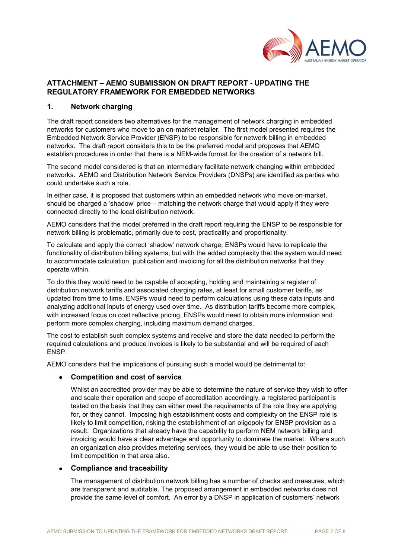

# **ATTACHMENT – AEMO SUBMISSION ON DRAFT REPORT - UPDATING THE REGULATORY FRAMEWORK FOR EMBEDDED NETWORKS**

### **1. Network charging**

The draft report considers two alternatives for the management of network charging in embedded networks for customers who move to an on-market retailer. The first model presented requires the Embedded Network Service Provider (ENSP) to be responsible for network billing in embedded networks. The draft report considers this to be the preferred model and proposes that AEMO establish procedures in order that there is a NEM-wide format for the creation of a network bill.

The second model considered is that an intermediary facilitate network changing within embedded networks. AEMO and Distribution Network Service Providers (DNSPs) are identified as parties who could undertake such a role.

In either case, it is proposed that customers within an embedded network who move on-market, should be charged a 'shadow' price – matching the network charge that would apply if they were connected directly to the local distribution network.

AEMO considers that the model preferred in the draft report requiring the ENSP to be responsible for network billing is problematic, primarily due to cost, practicality and proportionality.

To calculate and apply the correct 'shadow' network charge, ENSPs would have to replicate the functionality of distribution billing systems, but with the added complexity that the system would need to accommodate calculation, publication and invoicing for all the distribution networks that they operate within.

To do this they would need to be capable of accepting, holding and maintaining a register of distribution network tariffs and associated charging rates, at least for small customer tariffs, as updated from time to time. ENSPs would need to perform calculations using these data inputs and analyzing additional inputs of energy used over time. As distribution tariffs become more complex, with increased focus on cost reflective pricing, ENSPs would need to obtain more information and perform more complex charging, including maximum demand charges.

The cost to establish such complex systems and receive and store the data needed to perform the required calculations and produce invoices is likely to be substantial and will be required of each ENSP.

AEMO considers that the implications of pursuing such a model would be detrimental to:

#### • **Competition and cost of service**

Whilst an accredited provider may be able to determine the nature of service they wish to offer and scale their operation and scope of accreditation accordingly, a registered participant is tested on the basis that they can either meet the requirements of the role they are applying for, or they cannot. Imposing high establishment costs and complexity on the ENSP role is likely to limit competition, risking the establishment of an oligopoly for ENSP provision as a result. Organizations that already have the capability to perform NEM network billing and invoicing would have a clear advantage and opportunity to dominate the market. Where such an organization also provides metering services, they would be able to use their position to limit competition in that area also.

#### • **Compliance and traceability**

The management of distribution network billing has a number of checks and measures, which are transparent and auditable. The proposed arrangement in embedded networks does not provide the same level of comfort. An error by a DNSP in application of customers' network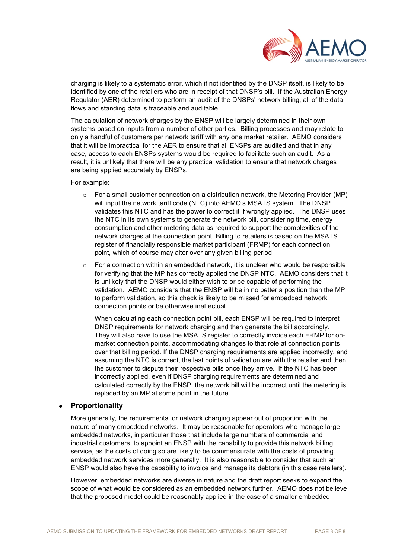

charging is likely to a systematic error, which if not identified by the DNSP itself, is likely to be identified by one of the retailers who are in receipt of that DNSP's bill. If the Australian Energy Regulator (AER) determined to perform an audit of the DNSPs' network billing, all of the data flows and standing data is traceable and auditable.

The calculation of network charges by the ENSP will be largely determined in their own systems based on inputs from a number of other parties. Billing processes and may relate to only a handful of customers per network tariff with any one market retailer. AEMO considers that it will be impractical for the AER to ensure that all ENSPs are audited and that in any case, access to each ENSPs systems would be required to facilitate such an audit. As a result, it is unlikely that there will be any practical validation to ensure that network charges are being applied accurately by ENSPs.

For example:

- $\circ$  For a small customer connection on a distribution network, the Metering Provider (MP) will input the network tariff code (NTC) into AEMO's MSATS system. The DNSP validates this NTC and has the power to correct it if wrongly applied. The DNSP uses the NTC in its own systems to generate the network bill, considering time, energy consumption and other metering data as required to support the complexities of the network charges at the connection point. Billing to retailers is based on the MSATS register of financially responsible market participant (FRMP) for each connection point, which of course may alter over any given billing period.
- $\circ$  For a connection within an embedded network, it is unclear who would be responsible for verifying that the MP has correctly applied the DNSP NTC. AEMO considers that it is unlikely that the DNSP would either wish to or be capable of performing the validation. AEMO considers that the ENSP will be in no better a position than the MP to perform validation, so this check is likely to be missed for embedded network connection points or be otherwise ineffectual.

When calculating each connection point bill, each ENSP will be required to interpret DNSP requirements for network charging and then generate the bill accordingly. They will also have to use the MSATS register to correctly invoice each FRMP for onmarket connection points, accommodating changes to that role at connection points over that billing period. If the DNSP charging requirements are applied incorrectly, and assuming the NTC is correct, the last points of validation are with the retailer and then the customer to dispute their respective bills once they arrive. If the NTC has been incorrectly applied, even if DNSP charging requirements are determined and calculated correctly by the ENSP, the network bill will be incorrect until the metering is replaced by an MP at some point in the future.

#### • **Proportionality**

More generally, the requirements for network charging appear out of proportion with the nature of many embedded networks. It may be reasonable for operators who manage large embedded networks, in particular those that include large numbers of commercial and industrial customers, to appoint an ENSP with the capability to provide this network billing service, as the costs of doing so are likely to be commensurate with the costs of providing embedded network services more generally. It is also reasonable to consider that such an ENSP would also have the capability to invoice and manage its debtors (in this case retailers).

However, embedded networks are diverse in nature and the draft report seeks to expand the scope of what would be considered as an embedded network further. AEMO does not believe that the proposed model could be reasonably applied in the case of a smaller embedded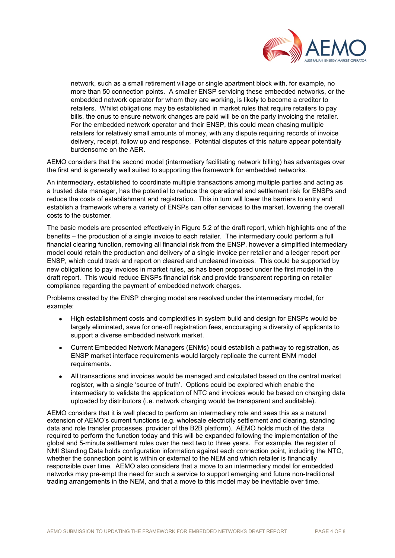

network, such as a small retirement village or single apartment block with, for example, no more than 50 connection points. A smaller ENSP servicing these embedded networks, or the embedded network operator for whom they are working, is likely to become a creditor to retailers. Whilst obligations may be established in market rules that require retailers to pay bills, the onus to ensure network changes are paid will be on the party invoicing the retailer. For the embedded network operator and their ENSP, this could mean chasing multiple retailers for relatively small amounts of money, with any dispute requiring records of invoice delivery, receipt, follow up and response. Potential disputes of this nature appear potentially burdensome on the AER.

AEMO considers that the second model (intermediary facilitating network billing) has advantages over the first and is generally well suited to supporting the framework for embedded networks.

An intermediary, established to coordinate multiple transactions among multiple parties and acting as a trusted data manager, has the potential to reduce the operational and settlement risk for ENSPs and reduce the costs of establishment and registration. This in turn will lower the barriers to entry and establish a framework where a variety of ENSPs can offer services to the market, lowering the overall costs to the customer.

The basic models are presented effectively in Figure 5.2 of the draft report, which highlights one of the benefits – the production of a single invoice to each retailer. The intermediary could perform a full financial clearing function, removing all financial risk from the ENSP, however a simplified intermediary model could retain the production and delivery of a single invoice per retailer and a ledger report per ENSP, which could track and report on cleared and uncleared invoices. This could be supported by new obligations to pay invoices in market rules, as has been proposed under the first model in the draft report. This would reduce ENSPs financial risk and provide transparent reporting on retailer compliance regarding the payment of embedded network charges.

Problems created by the ENSP charging model are resolved under the intermediary model, for example:

- High establishment costs and complexities in system build and design for ENSPs would be largely eliminated, save for one-off registration fees, encouraging a diversity of applicants to support a diverse embedded network market.
- Current Embedded Network Managers (ENMs) could establish a pathway to registration, as ENSP market interface requirements would largely replicate the current ENM model requirements.
- All transactions and invoices would be managed and calculated based on the central market register, with a single 'source of truth'. Options could be explored which enable the intermediary to validate the application of NTC and invoices would be based on charging data uploaded by distributors (i.e. network charging would be transparent and auditable).

AEMO considers that it is well placed to perform an intermediary role and sees this as a natural extension of AEMO's current functions (e.g. wholesale electricity settlement and clearing, standing data and role transfer processes, provider of the B2B platform). AEMO holds much of the data required to perform the function today and this will be expanded following the implementation of the global and 5-minute settlement rules over the next two to three years. For example, the register of NMI Standing Data holds configuration information against each connection point, including the NTC, whether the connection point is within or external to the NEM and which retailer is financially responsible over time. AEMO also considers that a move to an intermediary model for embedded networks may pre-empt the need for such a service to support emerging and future non-traditional trading arrangements in the NEM, and that a move to this model may be inevitable over time.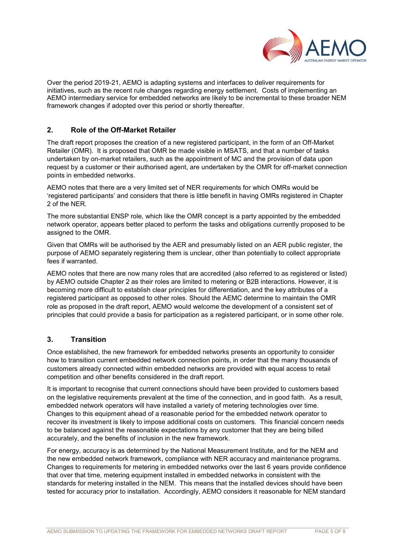

Over the period 2019-21, AEMO is adapting systems and interfaces to deliver requirements for initiatives, such as the recent rule changes regarding energy settlement. Costs of implementing an AEMO intermediary service for embedded networks are likely to be incremental to these broader NEM framework changes if adopted over this period or shortly thereafter.

## **2. Role of the Off-Market Retailer**

The draft report proposes the creation of a new registered participant, in the form of an Off-Market Retailer (OMR). It is proposed that OMR be made visible in MSATS, and that a number of tasks undertaken by on-market retailers, such as the appointment of MC and the provision of data upon request by a customer or their authorised agent, are undertaken by the OMR for off-market connection points in embedded networks.

AEMO notes that there are a very limited set of NER requirements for which OMRs would be 'registered participants' and considers that there is little benefit in having OMRs registered in Chapter 2 of the NER.

The more substantial ENSP role, which like the OMR concept is a party appointed by the embedded network operator, appears better placed to perform the tasks and obligations currently proposed to be assigned to the OMR.

Given that OMRs will be authorised by the AER and presumably listed on an AER public register, the purpose of AEMO separately registering them is unclear, other than potentially to collect appropriate fees if warranted.

AEMO notes that there are now many roles that are accredited (also referred to as registered or listed) by AEMO outside Chapter 2 as their roles are limited to metering or B2B interactions. However, it is becoming more difficult to establish clear principles for differentiation, and the key attributes of a registered participant as opposed to other roles. Should the AEMC determine to maintain the OMR role as proposed in the draft report, AEMO would welcome the development of a consistent set of principles that could provide a basis for participation as a registered participant, or in some other role.

#### **3. Transition**

Once established, the new framework for embedded networks presents an opportunity to consider how to transition current embedded network connection points, in order that the many thousands of customers already connected within embedded networks are provided with equal access to retail competition and other benefits considered in the draft report.

It is important to recognise that current connections should have been provided to customers based on the legislative requirements prevalent at the time of the connection, and in good faith. As a result, embedded network operators will have installed a variety of metering technologies over time. Changes to this equipment ahead of a reasonable period for the embedded network operator to recover its investment is likely to impose additional costs on customers. This financial concern needs to be balanced against the reasonable expectations by any customer that they are being billed accurately, and the benefits of inclusion in the new framework.

For energy, accuracy is as determined by the National Measurement Institute, and for the NEM and the new embedded network framework, compliance with NER accuracy and maintenance programs. Changes to requirements for metering in embedded networks over the last 6 years provide confidence that over that time, metering equipment installed in embedded networks in consistent with the standards for metering installed in the NEM. This means that the installed devices should have been tested for accuracy prior to installation. Accordingly, AEMO considers it reasonable for NEM standard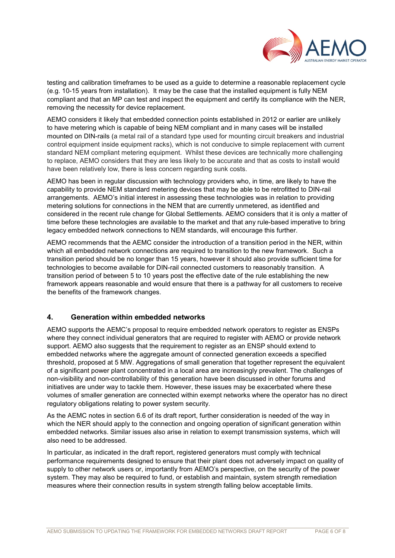

testing and calibration timeframes to be used as a guide to determine a reasonable replacement cycle (e.g. 10-15 years from installation). It may be the case that the installed equipment is fully NEM compliant and that an MP can test and inspect the equipment and certify its compliance with the NER, removing the necessity for device replacement.

AEMO considers it likely that embedded connection points established in 2012 or earlier are unlikely to have metering which is capable of being NEM compliant and in many cases will be installed mounted on DIN-rails (a metal rail of a standard type used for mounting circuit breakers and industrial control equipment inside equipment racks), which is not conducive to simple replacement with current standard NEM compliant metering equipment. Whilst these devices are technically more challenging to replace, AEMO considers that they are less likely to be accurate and that as costs to install would have been relatively low, there is less concern regarding sunk costs.

AEMO has been in regular discussion with technology providers who, in time, are likely to have the capability to provide NEM standard metering devices that may be able to be retrofitted to DIN-rail arrangements. AEMO's initial interest in assessing these technologies was in relation to providing metering solutions for connections in the NEM that are currently unmetered, as identified and considered in the recent rule change for Global Settlements. AEMO considers that it is only a matter of time before these technologies are available to the market and that any rule-based imperative to bring legacy embedded network connections to NEM standards, will encourage this further.

AEMO recommends that the AEMC consider the introduction of a transition period in the NER, within which all embedded network connections are required to transition to the new framework. Such a transition period should be no longer than 15 years, however it should also provide sufficient time for technologies to become available for DIN-rail connected customers to reasonably transition. A transition period of between 5 to 10 years post the effective date of the rule establishing the new framework appears reasonable and would ensure that there is a pathway for all customers to receive the benefits of the framework changes.

## **4. Generation within embedded networks**

AEMO supports the AEMC's proposal to require embedded network operators to register as ENSPs where they connect individual generators that are required to register with AEMO or provide network support. AEMO also suggests that the requirement to register as an ENSP should extend to embedded networks where the aggregate amount of connected generation exceeds a specified threshold, proposed at 5 MW. Aggregations of small generation that together represent the equivalent of a significant power plant concentrated in a local area are increasingly prevalent. The challenges of non-visibility and non-controllability of this generation have been discussed in other forums and initiatives are under way to tackle them. However, these issues may be exacerbated where these volumes of smaller generation are connected within exempt networks where the operator has no direct regulatory obligations relating to power system security.

As the AEMC notes in section 6.6 of its draft report, further consideration is needed of the way in which the NER should apply to the connection and ongoing operation of significant generation within embedded networks. Similar issues also arise in relation to exempt transmission systems, which will also need to be addressed.

In particular, as indicated in the draft report, registered generators must comply with technical performance requirements designed to ensure that their plant does not adversely impact on quality of supply to other network users or, importantly from AEMO's perspective, on the security of the power system. They may also be required to fund, or establish and maintain, system strength remediation measures where their connection results in system strength falling below acceptable limits.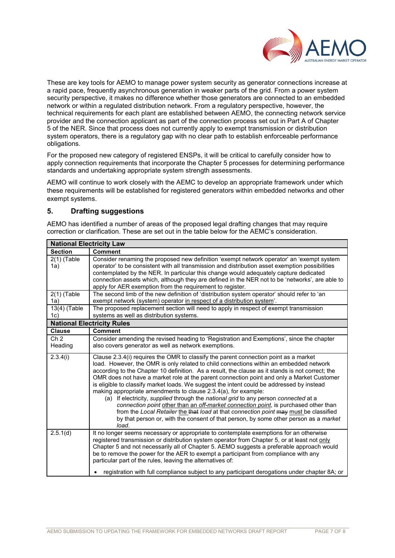

These are key tools for AEMO to manage power system security as generator connections increase at a rapid pace, frequently asynchronous generation in weaker parts of the grid. From a power system security perspective, it makes no difference whether those generators are connected to an embedded network or within a regulated distribution network. From a regulatory perspective, however, the technical requirements for each plant are established between AEMO, the connecting network service provider and the connection applicant as part of the connection process set out in Part A of Chapter 5 of the NER. Since that process does not currently apply to exempt transmission or distribution system operators, there is a regulatory gap with no clear path to establish enforceable performance obligations.

For the proposed new category of registered ENSPs, it will be critical to carefully consider how to apply connection requirements that incorporate the Chapter 5 processes for determining performance standards and undertaking appropriate system strength assessments.

AEMO will continue to work closely with the AEMC to develop an appropriate framework under which these requirements will be established for registered generators within embedded networks and other exempt systems.

#### **5. Drafting suggestions**

AEMO has identified a number of areas of the proposed legal drafting changes that may require correction or clarification. These are set out in the table below for the AEMC's consideration.

| <b>National Electricity Law</b>   |                                                                                                                                                                                                                                                                                                                                                                                                                                                                                                                                                                                                                                                                                                                                                                                                                                                                                                                        |  |
|-----------------------------------|------------------------------------------------------------------------------------------------------------------------------------------------------------------------------------------------------------------------------------------------------------------------------------------------------------------------------------------------------------------------------------------------------------------------------------------------------------------------------------------------------------------------------------------------------------------------------------------------------------------------------------------------------------------------------------------------------------------------------------------------------------------------------------------------------------------------------------------------------------------------------------------------------------------------|--|
| <b>Section</b>                    | <b>Comment</b>                                                                                                                                                                                                                                                                                                                                                                                                                                                                                                                                                                                                                                                                                                                                                                                                                                                                                                         |  |
| $2(1)$ (Table<br>1a)              | Consider renaming the proposed new definition 'exempt network operator' an 'exempt system<br>operator' to be consistent with all transmission and distribution asset exemption possibilities<br>contemplated by the NER. In particular this change would adequately capture dedicated<br>connection assets which, although they are defined in the NER not to be 'networks', are able to<br>apply for AER exemption from the requirement to register.                                                                                                                                                                                                                                                                                                                                                                                                                                                                  |  |
| $2(1)$ (Table<br>1a)              | The second limb of the new definition of 'distribution system operator' should refer to 'an<br>exempt network (system) operator in respect of a distribution system'.                                                                                                                                                                                                                                                                                                                                                                                                                                                                                                                                                                                                                                                                                                                                                  |  |
| 13(4) (Table<br>1c)               | The proposed replacement section will need to apply in respect of exempt transmission<br>systems as well as distribution systems.                                                                                                                                                                                                                                                                                                                                                                                                                                                                                                                                                                                                                                                                                                                                                                                      |  |
| <b>National Electricity Rules</b> |                                                                                                                                                                                                                                                                                                                                                                                                                                                                                                                                                                                                                                                                                                                                                                                                                                                                                                                        |  |
| <b>Clause</b>                     | <b>Comment</b>                                                                                                                                                                                                                                                                                                                                                                                                                                                                                                                                                                                                                                                                                                                                                                                                                                                                                                         |  |
| Ch <sub>2</sub><br>Heading        | Consider amending the revised heading to 'Registration and Exemptions', since the chapter<br>also covers generator as well as network exemptions.                                                                                                                                                                                                                                                                                                                                                                                                                                                                                                                                                                                                                                                                                                                                                                      |  |
| 2.3.4(i)                          | Clause 2.3.4(i) requires the OMR to classify the parent connection point as a market<br>load. However, the OMR is only related to child connections within an embedded network<br>according to the Chapter 10 definition. As a result, the clause as it stands is not correct; the<br>OMR does not have a market role at the parent connection point and only a Market Customer<br>is eligible to classify market loads. We suggest the intent could be addressed by instead<br>making appropriate amendments to clause 2.3.4(a), for example:<br>(a) If electricity, supplied through the national grid to any person connected at a<br>connection point other than an off-market connection point, is purchased other than<br>from the Local Retailer the that load at that connection point may must be classified<br>by that person or, with the consent of that person, by some other person as a market<br>load. |  |
| 2.5.1(d)                          | It no longer seems necessary or appropriate to contemplate exemptions for an otherwise<br>registered transmission or distribution system operator from Chapter 5, or at least not only<br>Chapter 5 and not necessarily all of Chapter 5. AEMO suggests a preferable approach would<br>be to remove the power for the AER to exempt a participant from compliance with any<br>particular part of the rules, leaving the alternatives of:                                                                                                                                                                                                                                                                                                                                                                                                                                                                               |  |
|                                   | registration with full compliance subject to any participant derogations under chapter 8A; or                                                                                                                                                                                                                                                                                                                                                                                                                                                                                                                                                                                                                                                                                                                                                                                                                          |  |